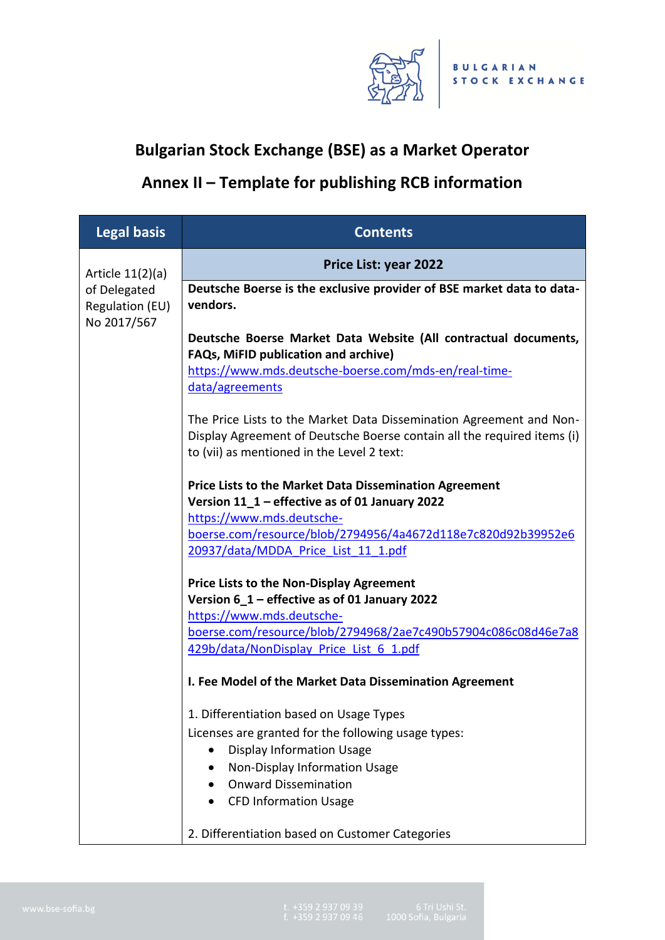

## **Bulgarian Stock Exchange (BSE) as a Market Operator**

## **Annex II – Template for publishing RCB information**

| <b>Legal basis</b>                             | <b>Contents</b>                                                                                                                                                                              |  |  |  |
|------------------------------------------------|----------------------------------------------------------------------------------------------------------------------------------------------------------------------------------------------|--|--|--|
| Article $11(2)(a)$                             | <b>Price List: year 2022</b>                                                                                                                                                                 |  |  |  |
| of Delegated<br>Regulation (EU)<br>No 2017/567 | Deutsche Boerse is the exclusive provider of BSE market data to data-<br>vendors.                                                                                                            |  |  |  |
|                                                | Deutsche Boerse Market Data Website (All contractual documents,<br>FAQs, MiFID publication and archive)                                                                                      |  |  |  |
|                                                | https://www.mds.deutsche-boerse.com/mds-en/real-time-<br>data/agreements                                                                                                                     |  |  |  |
|                                                | The Price Lists to the Market Data Dissemination Agreement and Non-<br>Display Agreement of Deutsche Boerse contain all the required items (i)<br>to (vii) as mentioned in the Level 2 text: |  |  |  |
|                                                | <b>Price Lists to the Market Data Dissemination Agreement</b><br>Version 11_1 - effective as of 01 January 2022                                                                              |  |  |  |
|                                                | https://www.mds.deutsche-<br>boerse.com/resource/blob/2794956/4a4672d118e7c820d92b39952e6<br>20937/data/MDDA Price List 11 1.pdf                                                             |  |  |  |
|                                                | <b>Price Lists to the Non-Display Agreement</b><br>Version 6_1 - effective as of 01 January 2022                                                                                             |  |  |  |
|                                                | https://www.mds.deutsche-<br>boerse.com/resource/blob/2794968/2ae7c490b57904c086c08d46e7a8<br>429b/data/NonDisplay Price List 6 1.pdf                                                        |  |  |  |
|                                                | I. Fee Model of the Market Data Dissemination Agreement                                                                                                                                      |  |  |  |
|                                                | 1. Differentiation based on Usage Types<br>Licenses are granted for the following usage types:                                                                                               |  |  |  |
|                                                | <b>Display Information Usage</b><br>Non-Display Information Usage                                                                                                                            |  |  |  |
|                                                | <b>Onward Dissemination</b><br><b>CFD Information Usage</b>                                                                                                                                  |  |  |  |
|                                                | 2. Differentiation based on Customer Categories                                                                                                                                              |  |  |  |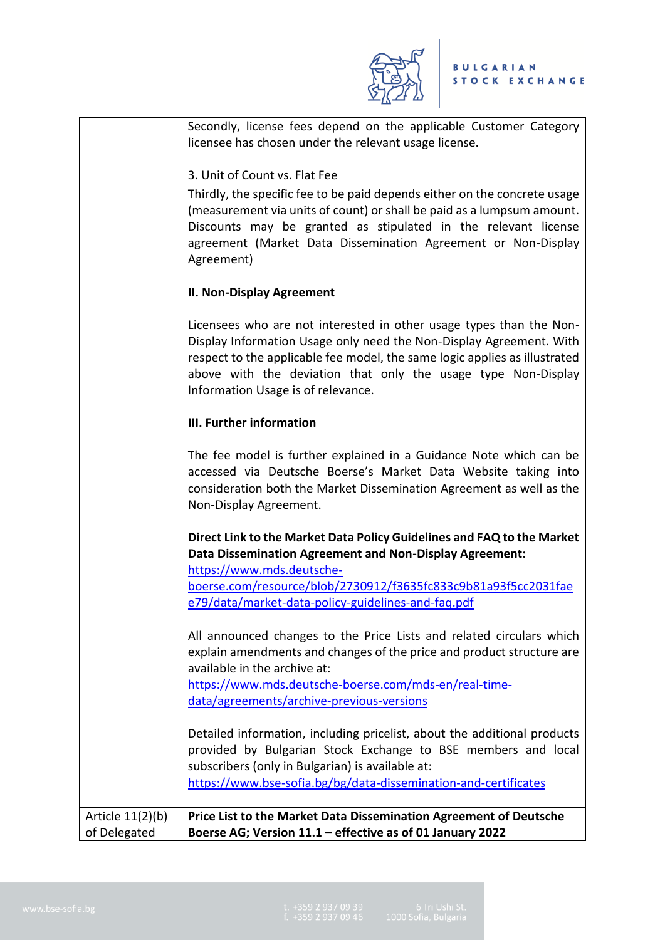

|                    | Secondly, license fees depend on the applicable Customer Category                                                 |
|--------------------|-------------------------------------------------------------------------------------------------------------------|
|                    | licensee has chosen under the relevant usage license.                                                             |
|                    | 3. Unit of Count vs. Flat Fee                                                                                     |
|                    | Thirdly, the specific fee to be paid depends either on the concrete usage                                         |
|                    | (measurement via units of count) or shall be paid as a lumpsum amount.                                            |
|                    | Discounts may be granted as stipulated in the relevant license                                                    |
|                    | agreement (Market Data Dissemination Agreement or Non-Display                                                     |
|                    | Agreement)                                                                                                        |
|                    | <b>II. Non-Display Agreement</b>                                                                                  |
|                    | Licensees who are not interested in other usage types than the Non-                                               |
|                    | Display Information Usage only need the Non-Display Agreement. With                                               |
|                    | respect to the applicable fee model, the same logic applies as illustrated                                        |
|                    | above with the deviation that only the usage type Non-Display<br>Information Usage is of relevance.               |
|                    |                                                                                                                   |
|                    | III. Further information                                                                                          |
|                    | The fee model is further explained in a Guidance Note which can be                                                |
|                    | accessed via Deutsche Boerse's Market Data Website taking into                                                    |
|                    | consideration both the Market Dissemination Agreement as well as the                                              |
|                    | Non-Display Agreement.                                                                                            |
|                    | Direct Link to the Market Data Policy Guidelines and FAQ to the Market                                            |
|                    | Data Dissemination Agreement and Non-Display Agreement:                                                           |
|                    | https://www.mds.deutsche-<br>boerse.com/resource/blob/2730912/f3635fc833c9b81a93f5cc2031fae                       |
|                    | e79/data/market-data-policy-guidelines-and-faq.pdf                                                                |
|                    |                                                                                                                   |
|                    | All announced changes to the Price Lists and related circulars which                                              |
|                    | explain amendments and changes of the price and product structure are<br>available in the archive at:             |
|                    | https://www.mds.deutsche-boerse.com/mds-en/real-time-                                                             |
|                    | data/agreements/archive-previous-versions                                                                         |
|                    |                                                                                                                   |
|                    | Detailed information, including pricelist, about the additional products                                          |
|                    | provided by Bulgarian Stock Exchange to BSE members and local<br>subscribers (only in Bulgarian) is available at: |
|                    | https://www.bse-sofia.bg/bg/data-dissemination-and-certificates                                                   |
|                    |                                                                                                                   |
| Article $11(2)(b)$ | Price List to the Market Data Dissemination Agreement of Deutsche                                                 |
| of Delegated       | Boerse AG; Version 11.1 - effective as of 01 January 2022                                                         |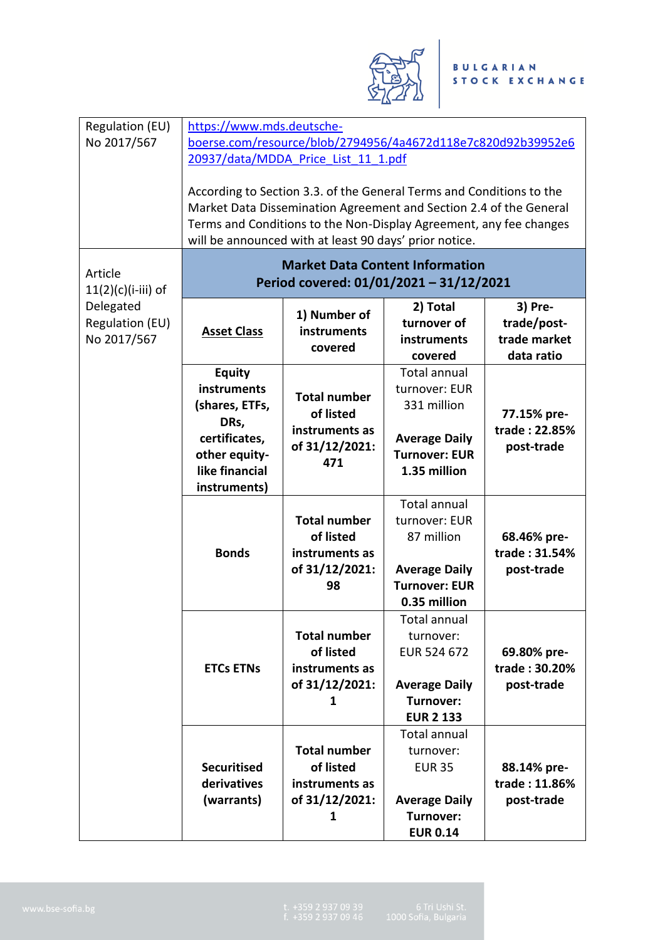

| Regulation (EU)                             |                                                                                                                                                                                                                                                                            | https://www.mds.deutsche-                                                   |                                                                                                                     |                                                      |
|---------------------------------------------|----------------------------------------------------------------------------------------------------------------------------------------------------------------------------------------------------------------------------------------------------------------------------|-----------------------------------------------------------------------------|---------------------------------------------------------------------------------------------------------------------|------------------------------------------------------|
| No 2017/567                                 |                                                                                                                                                                                                                                                                            |                                                                             | boerse.com/resource/blob/2794956/4a4672d118e7c820d92b39952e6                                                        |                                                      |
|                                             | 20937/data/MDDA Price List 11 1.pdf                                                                                                                                                                                                                                        |                                                                             |                                                                                                                     |                                                      |
|                                             | According to Section 3.3. of the General Terms and Conditions to the<br>Market Data Dissemination Agreement and Section 2.4 of the General<br>Terms and Conditions to the Non-Display Agreement, any fee changes<br>will be announced with at least 90 days' prior notice. |                                                                             |                                                                                                                     |                                                      |
| Article<br>$11(2)(c)(i-iii)$ of             | <b>Market Data Content Information</b><br>Period covered: 01/01/2021 - 31/12/2021                                                                                                                                                                                          |                                                                             |                                                                                                                     |                                                      |
| Delegated<br>Regulation (EU)<br>No 2017/567 | <b>Asset Class</b>                                                                                                                                                                                                                                                         | 1) Number of<br>instruments<br>covered                                      | 2) Total<br>turnover of<br>instruments<br>covered                                                                   | 3) Pre-<br>trade/post-<br>trade market<br>data ratio |
|                                             | <b>Equity</b><br>instruments<br>(shares, ETFs,<br>DRs,<br>certificates,<br>other equity-<br>like financial<br>instruments)                                                                                                                                                 | <b>Total number</b><br>of listed<br>instruments as<br>of 31/12/2021:<br>471 | <b>Total annual</b><br>turnover: EUR<br>331 million<br><b>Average Daily</b><br><b>Turnover: EUR</b><br>1.35 million | 77.15% pre-<br>trade: 22.85%<br>post-trade           |
|                                             | <b>Bonds</b>                                                                                                                                                                                                                                                               | <b>Total number</b><br>of listed<br>instruments as<br>of 31/12/2021:<br>98  | <b>Total annual</b><br>turnover: EUR<br>87 million<br><b>Average Daily</b><br><b>Turnover: EUR</b><br>0.35 million  | 68.46% pre-<br>trade: 31.54%<br>post-trade           |
|                                             | <b>ETCs ETNs</b>                                                                                                                                                                                                                                                           | <b>Total number</b><br>of listed<br>instruments as<br>of 31/12/2021:<br>1   | <b>Total annual</b><br>turnover:<br>EUR 524 672<br><b>Average Daily</b><br>Turnover:<br><b>EUR 2 133</b>            | 69.80% pre-<br>trade: 30.20%<br>post-trade           |
|                                             | <b>Securitised</b><br>derivatives<br>(warrants)                                                                                                                                                                                                                            | <b>Total number</b><br>of listed<br>instruments as<br>of 31/12/2021:<br>1   | Total annual<br>turnover:<br><b>EUR 35</b><br><b>Average Daily</b><br>Turnover:<br><b>EUR 0.14</b>                  | 88.14% pre-<br>trade: 11.86%<br>post-trade           |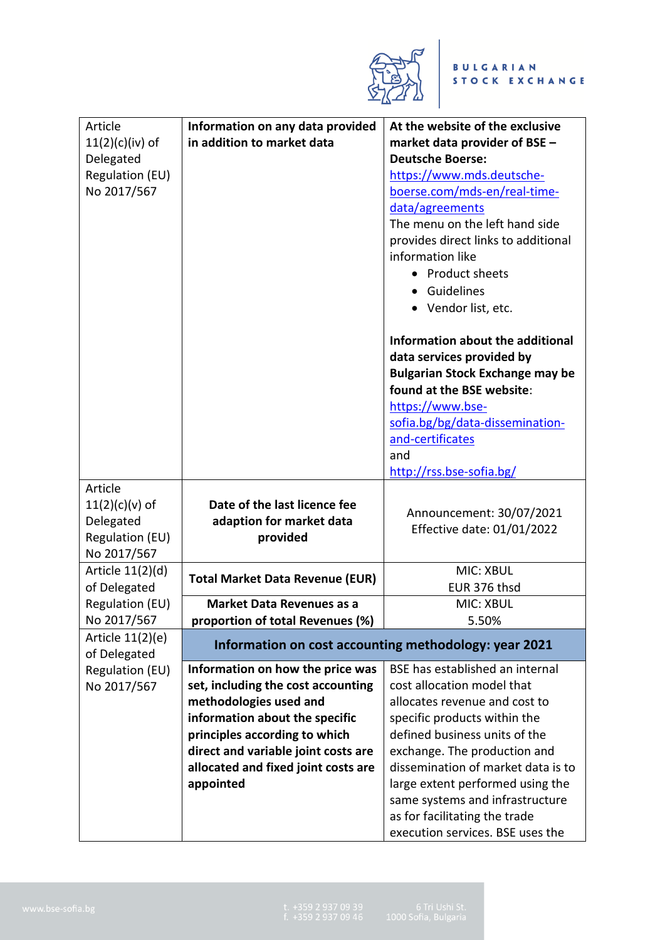

| Article<br>$11(2)(c)(iv)$ of<br>Delegated<br>Regulation (EU)<br>No 2017/567       | Information on any data provided<br>in addition to market data                                                                                                                                                                                                 | At the website of the exclusive<br>market data provider of BSE -<br><b>Deutsche Boerse:</b><br>https://www.mds.deutsche-<br>boerse.com/mds-en/real-time-<br>data/agreements<br>The menu on the left hand side<br>provides direct links to additional<br>information like                                                                                                          |
|-----------------------------------------------------------------------------------|----------------------------------------------------------------------------------------------------------------------------------------------------------------------------------------------------------------------------------------------------------------|-----------------------------------------------------------------------------------------------------------------------------------------------------------------------------------------------------------------------------------------------------------------------------------------------------------------------------------------------------------------------------------|
|                                                                                   |                                                                                                                                                                                                                                                                | • Product sheets<br>• Guidelines<br>• Vendor list, etc.                                                                                                                                                                                                                                                                                                                           |
|                                                                                   |                                                                                                                                                                                                                                                                | Information about the additional<br>data services provided by<br><b>Bulgarian Stock Exchange may be</b><br>found at the BSE website:<br>https://www.bse-<br>sofia.bg/bg/data-dissemination-<br>and-certificates<br>and<br>http://rss.bse-sofia.bg/                                                                                                                                |
| Article<br>$11(2)(c)(v)$ of<br>Delegated<br><b>Regulation (EU)</b><br>No 2017/567 | Date of the last licence fee<br>adaption for market data<br>provided                                                                                                                                                                                           | Announcement: 30/07/2021<br>Effective date: 01/01/2022                                                                                                                                                                                                                                                                                                                            |
| Article 11(2)(d)<br>of Delegated                                                  | <b>Total Market Data Revenue (EUR)</b>                                                                                                                                                                                                                         | <b>MIC: XBUL</b><br>EUR 376 thsd                                                                                                                                                                                                                                                                                                                                                  |
| Regulation (EU)                                                                   | <b>Market Data Revenues as a</b>                                                                                                                                                                                                                               | <b>MIC: XBUL</b>                                                                                                                                                                                                                                                                                                                                                                  |
| No 2017/567                                                                       | proportion of total Revenues (%)                                                                                                                                                                                                                               | 5.50%                                                                                                                                                                                                                                                                                                                                                                             |
| Article 11(2)(e)<br>of Delegated                                                  | Information on cost accounting methodology: year 2021                                                                                                                                                                                                          |                                                                                                                                                                                                                                                                                                                                                                                   |
| <b>Regulation (EU)</b><br>No 2017/567                                             | Information on how the price was<br>set, including the cost accounting<br>methodologies used and<br>information about the specific<br>principles according to which<br>direct and variable joint costs are<br>allocated and fixed joint costs are<br>appointed | BSE has established an internal<br>cost allocation model that<br>allocates revenue and cost to<br>specific products within the<br>defined business units of the<br>exchange. The production and<br>dissemination of market data is to<br>large extent performed using the<br>same systems and infrastructure<br>as for facilitating the trade<br>execution services. BSE uses the |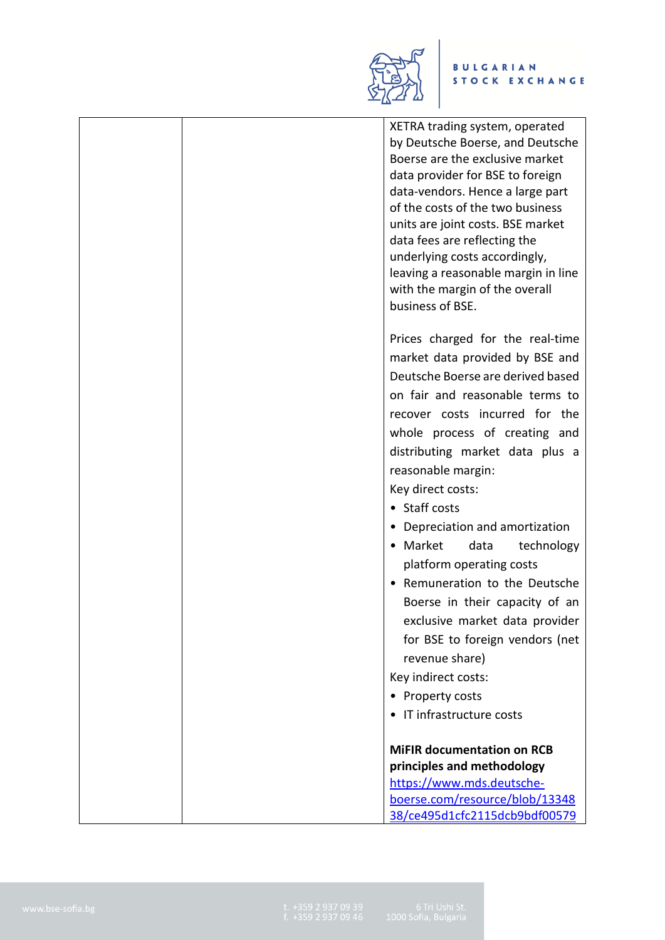

## BULGARIAN<br>STOCK EXCHANGE

|  | XETRA trading system, operated<br>by Deutsche Boerse, and Deutsche<br>Boerse are the exclusive market<br>data provider for BSE to foreign<br>data-vendors. Hence a large part<br>of the costs of the two business<br>units are joint costs. BSE market<br>data fees are reflecting the<br>underlying costs accordingly,<br>leaving a reasonable margin in line<br>with the margin of the overall<br>business of BSE. |
|--|----------------------------------------------------------------------------------------------------------------------------------------------------------------------------------------------------------------------------------------------------------------------------------------------------------------------------------------------------------------------------------------------------------------------|
|  | Prices charged for the real-time<br>market data provided by BSE and<br>Deutsche Boerse are derived based                                                                                                                                                                                                                                                                                                             |
|  | on fair and reasonable terms to                                                                                                                                                                                                                                                                                                                                                                                      |
|  | recover costs incurred for the                                                                                                                                                                                                                                                                                                                                                                                       |
|  | whole process of creating and                                                                                                                                                                                                                                                                                                                                                                                        |
|  | distributing market data plus a                                                                                                                                                                                                                                                                                                                                                                                      |
|  | reasonable margin:                                                                                                                                                                                                                                                                                                                                                                                                   |
|  | Key direct costs:                                                                                                                                                                                                                                                                                                                                                                                                    |
|  | • Staff costs                                                                                                                                                                                                                                                                                                                                                                                                        |
|  | • Depreciation and amortization                                                                                                                                                                                                                                                                                                                                                                                      |
|  | • Market<br>data<br>technology                                                                                                                                                                                                                                                                                                                                                                                       |
|  | platform operating costs                                                                                                                                                                                                                                                                                                                                                                                             |
|  | Remuneration to the Deutsche                                                                                                                                                                                                                                                                                                                                                                                         |
|  | Boerse in their capacity of an                                                                                                                                                                                                                                                                                                                                                                                       |
|  | exclusive market data provider                                                                                                                                                                                                                                                                                                                                                                                       |
|  | for BSE to foreign vendors (net                                                                                                                                                                                                                                                                                                                                                                                      |
|  | revenue share)<br>Key indirect costs:                                                                                                                                                                                                                                                                                                                                                                                |
|  | Property costs<br>٠                                                                                                                                                                                                                                                                                                                                                                                                  |
|  | IT infrastructure costs                                                                                                                                                                                                                                                                                                                                                                                              |
|  |                                                                                                                                                                                                                                                                                                                                                                                                                      |
|  | <b>MIFIR documentation on RCB</b>                                                                                                                                                                                                                                                                                                                                                                                    |
|  | principles and methodology                                                                                                                                                                                                                                                                                                                                                                                           |
|  | https://www.mds.deutsche-                                                                                                                                                                                                                                                                                                                                                                                            |
|  | boerse.com/resource/blob/13348                                                                                                                                                                                                                                                                                                                                                                                       |
|  | 38/ce495d1cfc2115dcb9bdf00579                                                                                                                                                                                                                                                                                                                                                                                        |